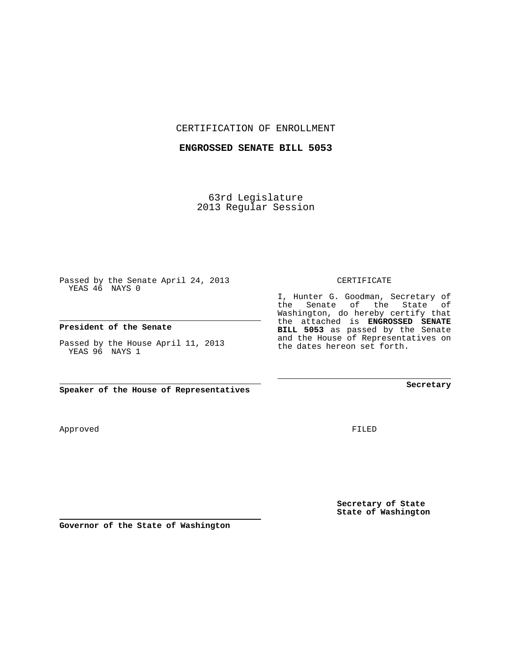CERTIFICATION OF ENROLLMENT

**ENGROSSED SENATE BILL 5053**

63rd Legislature 2013 Regular Session

Passed by the Senate April 24, 2013 YEAS 46 NAYS 0

**President of the Senate**

Passed by the House April 11, 2013 YEAS 96 NAYS 1

**Speaker of the House of Representatives**

Approved

FILED

**Secretary of State State of Washington**

**Governor of the State of Washington**

## CERTIFICATE

I, Hunter G. Goodman, Secretary of the Senate of the State of Washington, do hereby certify that the attached is **ENGROSSED SENATE BILL 5053** as passed by the Senate and the House of Representatives on the dates hereon set forth.

**Secretary**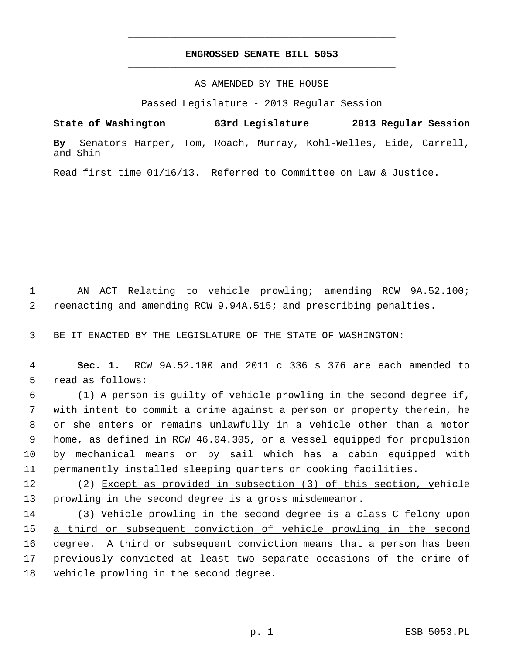## **ENGROSSED SENATE BILL 5053** \_\_\_\_\_\_\_\_\_\_\_\_\_\_\_\_\_\_\_\_\_\_\_\_\_\_\_\_\_\_\_\_\_\_\_\_\_\_\_\_\_\_\_\_\_

\_\_\_\_\_\_\_\_\_\_\_\_\_\_\_\_\_\_\_\_\_\_\_\_\_\_\_\_\_\_\_\_\_\_\_\_\_\_\_\_\_\_\_\_\_

## AS AMENDED BY THE HOUSE

Passed Legislature - 2013 Regular Session

**State of Washington 63rd Legislature 2013 Regular Session By** Senators Harper, Tom, Roach, Murray, Kohl-Welles, Eide, Carrell, and Shin

Read first time 01/16/13. Referred to Committee on Law & Justice.

 1 AN ACT Relating to vehicle prowling; amending RCW 9A.52.100; 2 reenacting and amending RCW 9.94A.515; and prescribing penalties.

3 BE IT ENACTED BY THE LEGISLATURE OF THE STATE OF WASHINGTON:

 4 **Sec. 1.** RCW 9A.52.100 and 2011 c 336 s 376 are each amended to 5 read as follows:

 6 (1) A person is guilty of vehicle prowling in the second degree if, 7 with intent to commit a crime against a person or property therein, he 8 or she enters or remains unlawfully in a vehicle other than a motor 9 home, as defined in RCW 46.04.305, or a vessel equipped for propulsion 10 by mechanical means or by sail which has a cabin equipped with 11 permanently installed sleeping quarters or cooking facilities.

12 (2) Except as provided in subsection (3) of this section, vehicle 13 prowling in the second degree is a gross misdemeanor.

 (3) Vehicle prowling in the second degree is a class C felony upon a third or subsequent conviction of vehicle prowling in the second degree. A third or subsequent conviction means that a person has been previously convicted at least two separate occasions of the crime of vehicle prowling in the second degree.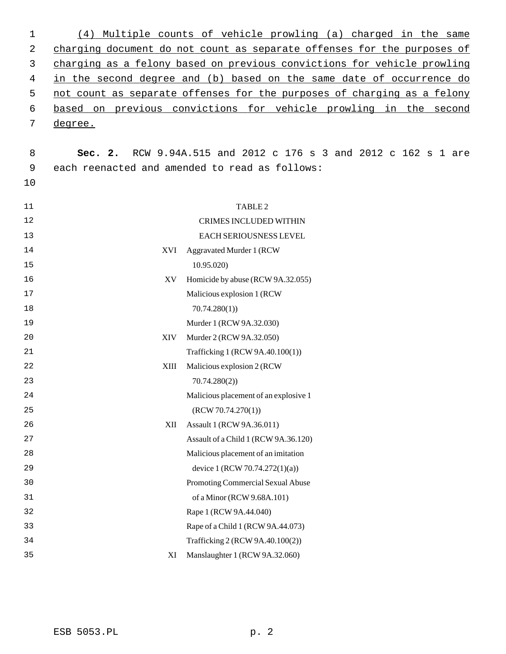| 1  | (4)                                                                     | Multiple counts of vehicle prowling (a) charged in the same             |  |
|----|-------------------------------------------------------------------------|-------------------------------------------------------------------------|--|
| 2  |                                                                         | charging document do not count as separate offenses for the purposes of |  |
| 3  | charging as a felony based on previous convictions for vehicle prowling |                                                                         |  |
| 4  |                                                                         | in the second degree and (b) based on the same date of occurrence do    |  |
| 5  |                                                                         | not count as separate offenses for the purposes of charging as a felony |  |
| 6  |                                                                         | based on previous convictions for vehicle prowling in the second        |  |
| 7  | degree.                                                                 |                                                                         |  |
|    |                                                                         |                                                                         |  |
| 8  | Sec. 2.                                                                 | RCW 9.94A.515 and 2012 c 176 s 3 and 2012 c 162 s 1 are                 |  |
| 9  |                                                                         | each reenacted and amended to read as follows:                          |  |
| 10 |                                                                         |                                                                         |  |
| 11 |                                                                         | TABLE <sub>2</sub>                                                      |  |
| 12 |                                                                         | <b>CRIMES INCLUDED WITHIN</b>                                           |  |
| 13 |                                                                         | EACH SERIOUSNESS LEVEL                                                  |  |
| 14 | XVI                                                                     | Aggravated Murder 1 (RCW                                                |  |
| 15 |                                                                         | 10.95.020)                                                              |  |
| 16 | XV                                                                      | Homicide by abuse (RCW 9A.32.055)                                       |  |
| 17 |                                                                         | Malicious explosion 1 (RCW                                              |  |
| 18 |                                                                         | 70.74.280(1)                                                            |  |
| 19 |                                                                         | Murder 1 (RCW 9A.32.030)                                                |  |
| 20 | XIV                                                                     | Murder 2 (RCW 9A.32.050)                                                |  |
| 21 |                                                                         | Trafficking 1 (RCW 9A.40.100(1))                                        |  |
| 22 | XIII                                                                    | Malicious explosion 2 (RCW                                              |  |
| 23 |                                                                         | 70.74.280(2)                                                            |  |
| 24 |                                                                         | Malicious placement of an explosive 1                                   |  |
| 25 |                                                                         | (RCW 70.74.270(1))                                                      |  |
| 26 | XII                                                                     | Assault 1 (RCW 9A.36.011)                                               |  |
| 27 |                                                                         | Assault of a Child 1 (RCW 9A.36.120)                                    |  |
| 28 |                                                                         | Malicious placement of an imitation                                     |  |
| 29 |                                                                         | device 1 (RCW 70.74.272(1)(a))                                          |  |
| 30 |                                                                         | Promoting Commercial Sexual Abuse                                       |  |
| 31 |                                                                         | of a Minor (RCW 9.68A.101)                                              |  |
| 32 |                                                                         | Rape 1 (RCW 9A.44.040)                                                  |  |
| 33 |                                                                         | Rape of a Child 1 (RCW 9A.44.073)                                       |  |
| 34 |                                                                         | Trafficking 2 (RCW 9A.40.100(2))                                        |  |
| 35 | XI                                                                      | Manslaughter 1 (RCW 9A.32.060)                                          |  |
|    |                                                                         |                                                                         |  |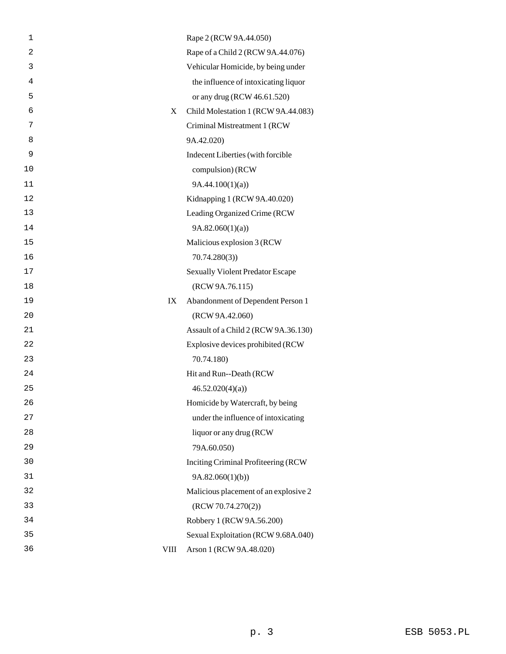| 1              |             | Rape 2 (RCW 9A.44.050)                  |
|----------------|-------------|-----------------------------------------|
| $\overline{a}$ |             | Rape of a Child 2 (RCW 9A.44.076)       |
| 3              |             | Vehicular Homicide, by being under      |
| 4              |             | the influence of intoxicating liquor    |
| 5              |             | or any drug (RCW 46.61.520)             |
| 6              | X           | Child Molestation 1 (RCW 9A.44.083)     |
| 7              |             | Criminal Mistreatment 1 (RCW            |
| 8              |             | 9A.42.020)                              |
| 9              |             | Indecent Liberties (with forcible       |
| 10             |             | compulsion) (RCW                        |
| 11             |             | 9A.44.100(1)(a)                         |
| 12             |             | Kidnapping 1 (RCW 9A.40.020)            |
| 13             |             | Leading Organized Crime (RCW            |
| 14             |             | 9A.82.060(1)(a)                         |
| 15             |             | Malicious explosion 3 (RCW              |
| 16             |             | 70.74.280(3)                            |
| 17             |             | <b>Sexually Violent Predator Escape</b> |
| 18             |             | (RCW 9A.76.115)                         |
| 19             | IX          | Abandonment of Dependent Person 1       |
| 20             |             | (RCW 9A.42.060)                         |
| 21             |             | Assault of a Child 2 (RCW 9A.36.130)    |
| 22             |             | Explosive devices prohibited (RCW       |
| 23             |             | 70.74.180)                              |
| 24             |             | Hit and Run--Death (RCW                 |
| 25             |             | 46.52.020(4)(a)                         |
| 26             |             | Homicide by Watercraft, by being        |
| 27             |             | under the influence of intoxicating     |
| 28             |             | liquor or any drug (RCW                 |
| 29             |             | 79A.60.050)                             |
| 30             |             | Inciting Criminal Profiteering (RCW     |
| 31             |             | 9A.82.060(1)(b)                         |
| 32             |             | Malicious placement of an explosive 2   |
| 33             |             | (RCW 70.74.270(2))                      |
| 34             |             | Robbery 1 (RCW 9A.56.200)               |
| 35             |             | Sexual Exploitation (RCW 9.68A.040)     |
| 36             | <b>VIII</b> | Arson 1 (RCW 9A.48.020)                 |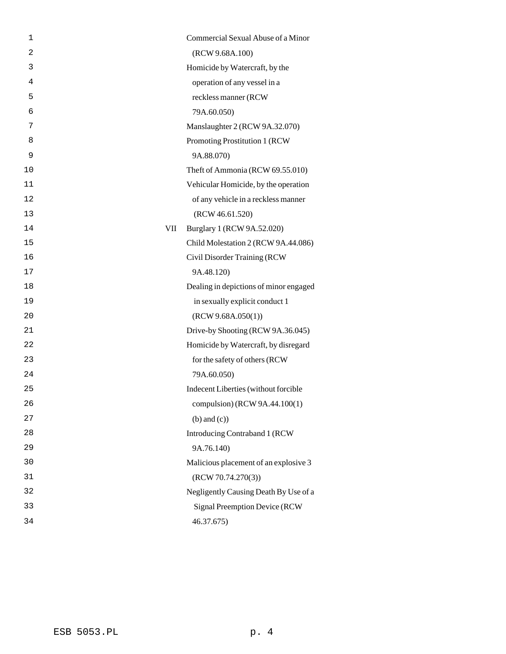| 1  |     | Commercial Sexual Abuse of a Minor     |
|----|-----|----------------------------------------|
| 2  |     | (RCW 9.68A.100)                        |
| 3  |     | Homicide by Watercraft, by the         |
| 4  |     | operation of any vessel in a           |
| 5  |     | reckless manner (RCW                   |
| 6  |     | 79A.60.050)                            |
| 7  |     | Manslaughter 2 (RCW 9A.32.070)         |
| 8  |     | Promoting Prostitution 1 (RCW)         |
| 9  |     | 9A.88.070)                             |
| 10 |     | Theft of Ammonia (RCW 69.55.010)       |
| 11 |     | Vehicular Homicide, by the operation   |
| 12 |     | of any vehicle in a reckless manner    |
| 13 |     | (RCW 46.61.520)                        |
| 14 | VII | Burglary 1 (RCW 9A.52.020)             |
| 15 |     | Child Molestation 2 (RCW 9A.44.086)    |
| 16 |     | Civil Disorder Training (RCW           |
| 17 |     | 9A.48.120)                             |
| 18 |     | Dealing in depictions of minor engaged |
| 19 |     | in sexually explicit conduct 1         |
| 20 |     | (RCW 9.68A.050(1))                     |
| 21 |     | Drive-by Shooting (RCW 9A.36.045)      |
| 22 |     | Homicide by Watercraft, by disregard   |
| 23 |     | for the safety of others (RCW          |
| 24 |     | 79A.60.050)                            |
| 25 |     | Indecent Liberties (without forcible   |
| 26 |     | compulsion) (RCW 9A.44.100(1)          |
| 27 |     | $(b)$ and $(c)$ )                      |
| 28 |     | Introducing Contraband 1 (RCW          |
| 29 |     | 9A.76.140)                             |
| 30 |     | Malicious placement of an explosive 3  |
| 31 |     | (RCW 70.74.270(3))                     |
| 32 |     | Negligently Causing Death By Use of a  |
| 33 |     | <b>Signal Preemption Device (RCW)</b>  |
| 34 |     | 46.37.675)                             |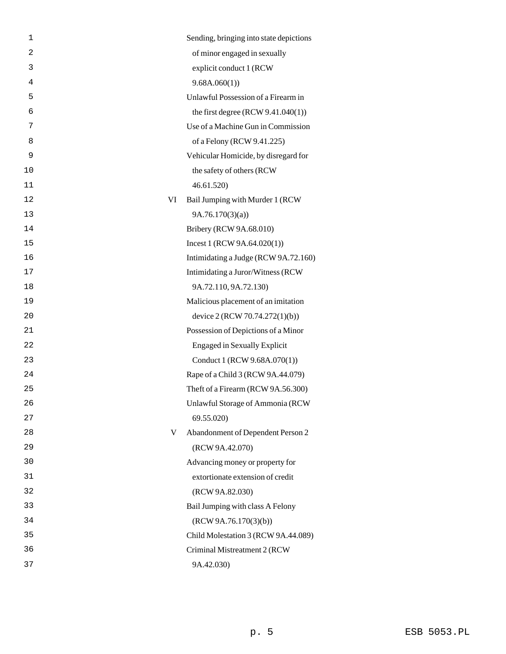| $\mathbf 1$    |    | Sending, bringing into state depictions |
|----------------|----|-----------------------------------------|
| $\overline{c}$ |    | of minor engaged in sexually            |
| 3              |    | explicit conduct 1 (RCW                 |
| 4              |    | 9.68A.060(1)                            |
| 5              |    | Unlawful Possession of a Firearm in     |
| 6              |    | the first degree $(RCW 9.41.040(1))$    |
| 7              |    | Use of a Machine Gun in Commission      |
| 8              |    | of a Felony (RCW 9.41.225)              |
| 9              |    | Vehicular Homicide, by disregard for    |
| 10             |    | the safety of others (RCW               |
| 11             |    | 46.61.520)                              |
| 12             | VI | Bail Jumping with Murder 1 (RCW         |
| 13             |    | 9A.76.170(3)(a)                         |
| 14             |    | Bribery (RCW 9A.68.010)                 |
| 15             |    | Incest 1 (RCW 9A.64.020(1))             |
| 16             |    | Intimidating a Judge (RCW 9A.72.160)    |
| 17             |    | Intimidating a Juror/Witness (RCW       |
| 18             |    | 9A.72.110, 9A.72.130)                   |
| 19             |    | Malicious placement of an imitation     |
| 20             |    | device 2 (RCW 70.74.272(1)(b))          |
| 21             |    | Possession of Depictions of a Minor     |
| 22             |    | <b>Engaged in Sexually Explicit</b>     |
| 23             |    | Conduct 1 (RCW 9.68A.070(1))            |
| 24             |    | Rape of a Child 3 (RCW 9A.44.079)       |
| 25             |    | Theft of a Firearm (RCW 9A.56.300)      |
| 26             |    | <b>Unlawful Storage of Ammonia (RCW</b> |
| 27             |    | 69.55.020)                              |
| 28             | V  | Abandonment of Dependent Person 2       |
| 29             |    | (RCW 9A.42.070)                         |
| 30             |    | Advancing money or property for         |
| 31             |    | extortionate extension of credit        |
| 32             |    | (RCW 9A.82.030)                         |
| 33             |    | Bail Jumping with class A Felony        |
| 34             |    | (RCW 9A.76.170(3)(b))                   |
| 35             |    | Child Molestation 3 (RCW 9A.44.089)     |
| 36             |    | Criminal Mistreatment 2 (RCW            |
| 37             |    | 9A.42.030)                              |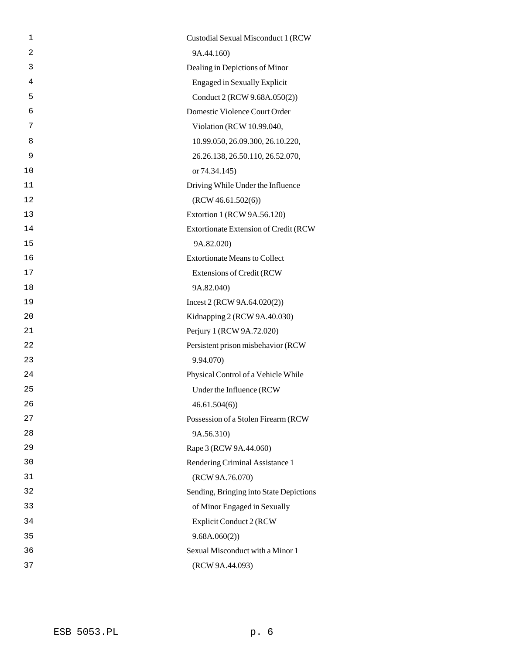| 1  | Custodial Sexual Misconduct 1 (RCW      |
|----|-----------------------------------------|
| 2  | 9A.44.160)                              |
| 3  | Dealing in Depictions of Minor          |
| 4  | <b>Engaged in Sexually Explicit</b>     |
| 5  | Conduct 2 (RCW 9.68A.050(2))            |
| 6  | Domestic Violence Court Order           |
| 7  | Violation (RCW 10.99.040,               |
| 8  | 10.99.050, 26.09.300, 26.10.220,        |
| 9  | 26.26.138, 26.50.110, 26.52.070,        |
| 10 | or 74.34.145)                           |
| 11 | Driving While Under the Influence       |
| 12 | (RCW 46.61.502(6))                      |
| 13 | Extortion 1 (RCW 9A.56.120)             |
| 14 | Extortionate Extension of Credit (RCW   |
| 15 | 9A.82.020)                              |
| 16 | <b>Extortionate Means to Collect</b>    |
| 17 | <b>Extensions of Credit (RCW)</b>       |
| 18 | 9A.82.040)                              |
| 19 | Incest 2 (RCW 9A.64.020(2))             |
| 20 | Kidnapping 2 (RCW 9A.40.030)            |
| 21 | Perjury 1 (RCW 9A.72.020)               |
| 22 | Persistent prison misbehavior (RCW      |
| 23 | 9.94.070)                               |
| 24 | Physical Control of a Vehicle While     |
| 25 | Under the Influence (RCW                |
| 26 | 46.61.504(6)                            |
| 27 | Possession of a Stolen Firearm (RCW     |
| 28 | 9A.56.310)                              |
| 29 | Rape 3 (RCW 9A.44.060)                  |
| 30 | Rendering Criminal Assistance 1         |
| 31 | (RCW 9A.76.070)                         |
| 32 | Sending, Bringing into State Depictions |
| 33 | of Minor Engaged in Sexually            |
| 34 | <b>Explicit Conduct 2 (RCW</b>          |
| 35 | 9.68A.060(2))                           |
| 36 | Sexual Misconduct with a Minor 1        |
| 37 | (RCW 9A.44.093)                         |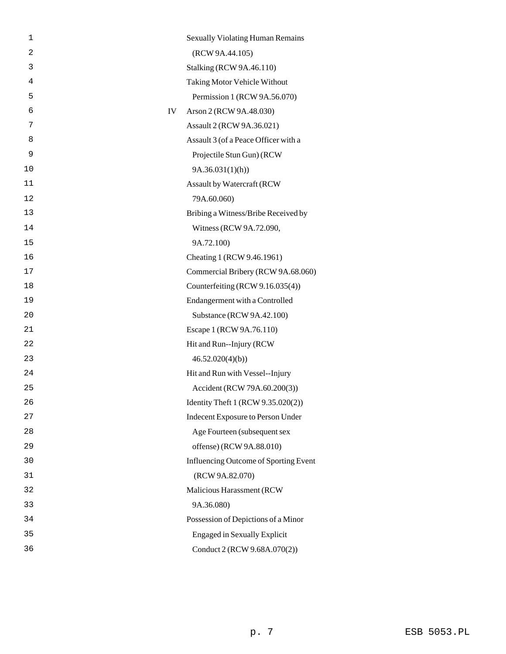| 1              |    | <b>Sexually Violating Human Remains</b>      |
|----------------|----|----------------------------------------------|
| $\overline{a}$ |    | (RCW 9A.44.105)                              |
| 3              |    | <b>Stalking (RCW 9A.46.110)</b>              |
| 4              |    | Taking Motor Vehicle Without                 |
| 5              |    | Permission 1 (RCW 9A.56.070)                 |
| 6              | IV | Arson 2 (RCW 9A.48.030)                      |
| 7              |    | Assault 2 (RCW 9A.36.021)                    |
| 8              |    | Assault 3 (of a Peace Officer with a         |
| 9              |    | Projectile Stun Gun) (RCW                    |
| 10             |    | 9A.36.031(1)(h)                              |
| 11             |    | Assault by Watercraft (RCW                   |
| 12             |    | 79A.60.060)                                  |
| 13             |    | Bribing a Witness/Bribe Received by          |
| 14             |    | Witness (RCW 9A.72.090,                      |
| 15             |    | 9A.72.100)                                   |
| 16             |    | Cheating 1 (RCW 9.46.1961)                   |
| 17             |    | Commercial Bribery (RCW 9A.68.060)           |
| 18             |    | Counterfeiting (RCW 9.16.035(4))             |
| 19             |    | Endangerment with a Controlled               |
| 20             |    | Substance (RCW 9A.42.100)                    |
| 21             |    | Escape 1 (RCW 9A.76.110)                     |
| 22             |    | Hit and Run--Injury (RCW)                    |
| 23             |    | 46.52.020(4)(b)                              |
| 24             |    | Hit and Run with Vessel--Injury              |
| 25             |    | Accident (RCW 79A.60.200(3))                 |
| 26             |    | Identity Theft 1 (RCW 9.35.020(2))           |
| 27             |    | Indecent Exposure to Person Under            |
| 28             |    | Age Fourteen (subsequent sex                 |
| 29             |    | offense) (RCW 9A.88.010)                     |
| 30             |    | <b>Influencing Outcome of Sporting Event</b> |
| 31             |    | (RCW 9A.82.070)                              |
| 32             |    | Malicious Harassment (RCW                    |
| 33             |    | 9A.36.080)                                   |
| 34             |    | Possession of Depictions of a Minor          |
| 35             |    | <b>Engaged in Sexually Explicit</b>          |
| 36             |    | Conduct 2 (RCW 9.68A.070(2))                 |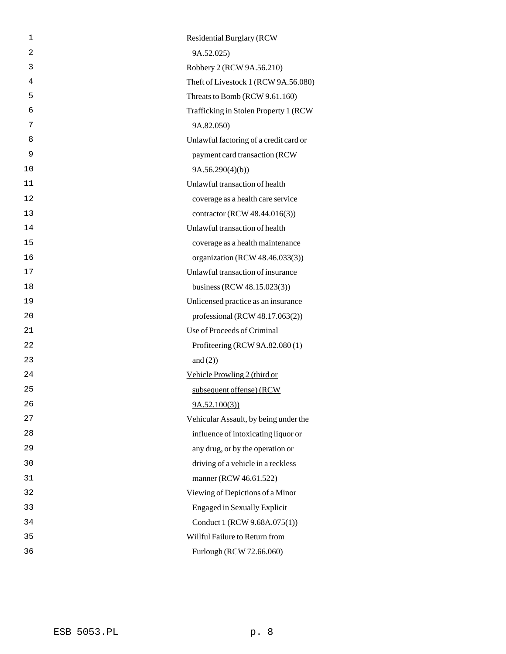| 1              | <b>Residential Burglary (RCW)</b>      |
|----------------|----------------------------------------|
| $\overline{2}$ | 9A.52.025)                             |
| 3              | Robbery 2 (RCW 9A.56.210)              |
| 4              | Theft of Livestock 1 (RCW 9A.56.080)   |
| 5              | Threats to Bomb (RCW 9.61.160)         |
| 6              | Trafficking in Stolen Property 1 (RCW) |
| 7              | 9A.82.050)                             |
| 8              | Unlawful factoring of a credit card or |
| 9              | payment card transaction (RCW          |
| 10             | 9A.56.290(4)(b)                        |
| 11             | Unlawful transaction of health         |
| 12             | coverage as a health care service      |
| 13             | contractor (RCW 48.44.016(3))          |
| 14             | Unlawful transaction of health         |
| 15             | coverage as a health maintenance       |
| 16             | organization (RCW 48.46.033(3))        |
| 17             | Unlawful transaction of insurance      |
| 18             | business (RCW $48.15.023(3)$ )         |
| 19             | Unlicensed practice as an insurance    |
| 20             | professional (RCW $48.17.063(2)$ )     |
| 21             | Use of Proceeds of Criminal            |
| 22             | Profiteering (RCW 9A.82.080 (1)        |
| 23             | and $(2)$ )                            |
| 24             | Vehicle Prowling 2 (third or           |
| 25             | subsequent offense) (RCW               |
| 26             | 9A.52.100(3)                           |
| 27             | Vehicular Assault, by being under the  |
| 28             | influence of intoxicating liquor or    |
| 29             | any drug, or by the operation or       |
| 30             | driving of a vehicle in a reckless     |
| 31             | manner (RCW 46.61.522)                 |
| 32             | Viewing of Depictions of a Minor       |
| 33             | <b>Engaged in Sexually Explicit</b>    |
| 34             | Conduct 1 (RCW 9.68A.075(1))           |
| 35             | Willful Failure to Return from         |
| 36             | Furlough (RCW 72.66.060)               |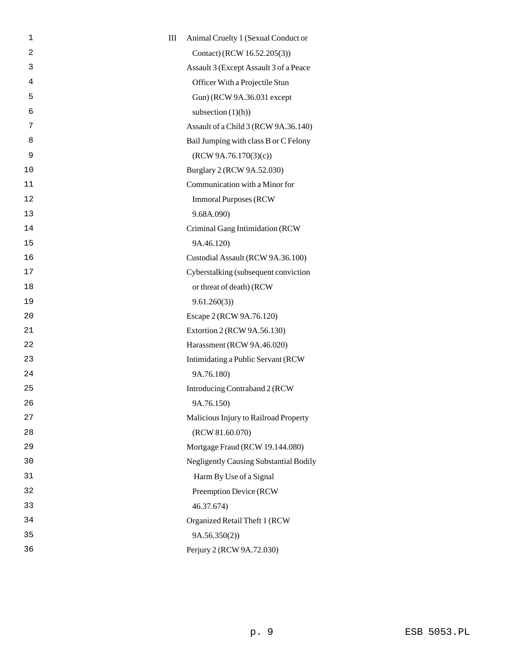| 1              | $\rm III$ | Animal Cruelty 1 (Sexual Conduct or           |
|----------------|-----------|-----------------------------------------------|
| $\overline{a}$ |           | Contact) (RCW 16.52.205(3))                   |
| 3              |           | Assault 3 (Except Assault 3 of a Peace        |
| 4              |           | Officer With a Projectile Stun                |
| 5              |           | Gun) (RCW 9A.36.031 except                    |
| 6              |           | subsection $(1)(h)$                           |
| 7              |           | Assault of a Child 3 (RCW 9A.36.140)          |
| 8              |           | Bail Jumping with class B or C Felony         |
| 9              |           | (RCW 9A.76.170(3)(c))                         |
| 10             |           | Burglary 2 (RCW 9A.52.030)                    |
| 11             |           | Communication with a Minor for                |
| 12             |           | <b>Immoral Purposes (RCW)</b>                 |
| 13             |           | 9.68A.090)                                    |
| 14             |           | Criminal Gang Intimidation (RCW               |
| 15             |           | 9A.46.120)                                    |
| 16             |           | Custodial Assault (RCW 9A.36.100)             |
| 17             |           | Cyberstalking (subsequent conviction          |
| 18             |           | or threat of death) (RCW                      |
| 19             |           | 9.61.260(3)                                   |
| 20             |           | Escape 2 (RCW 9A.76.120)                      |
| 21             |           | Extortion 2 (RCW 9A.56.130)                   |
| 22             |           | Harassment (RCW 9A.46.020)                    |
| 23             |           | Intimidating a Public Servant (RCW)           |
| 24             |           | 9A.76.180)                                    |
| 25             |           | Introducing Contraband 2 (RCW                 |
| 26             |           | 9A.76.150)                                    |
| 27             |           | Malicious Injury to Railroad Property         |
| 28             |           | (RCW 81.60.070)                               |
| 29             |           | Mortgage Fraud (RCW 19.144.080)               |
| 30             |           | <b>Negligently Causing Substantial Bodily</b> |
| 31             |           | Harm By Use of a Signal                       |
| 32             |           | Preemption Device (RCW                        |
| 33             |           | 46.37.674)                                    |
| 34             |           | Organized Retail Theft 1 (RCW                 |
| 35             |           | 9A.56.350(2)                                  |
| 36             |           | Perjury 2 (RCW 9A.72.030)                     |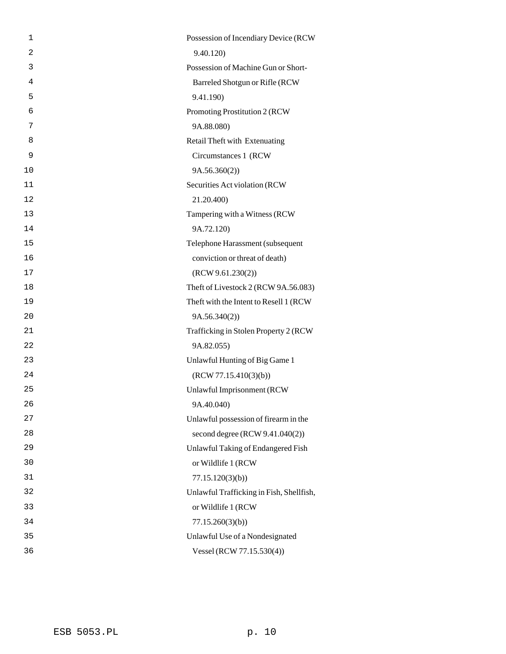| 1  | Possession of Incendiary Device (RCW     |
|----|------------------------------------------|
| 2  | 9.40.120)                                |
| 3  | Possession of Machine Gun or Short-      |
| 4  | Barreled Shotgun or Rifle (RCW           |
| 5  | 9.41.190)                                |
| 6  | Promoting Prostitution 2 (RCW            |
| 7  | 9A.88.080)                               |
| 8  | Retail Theft with Extenuating            |
| 9  | Circumstances 1 (RCW                     |
| 10 | 9A.56.360(2)                             |
| 11 | Securities Act violation (RCW            |
| 12 | 21.20.400)                               |
| 13 | Tampering with a Witness (RCW            |
| 14 | 9A.72.120)                               |
| 15 | Telephone Harassment (subsequent         |
| 16 | conviction or threat of death)           |
| 17 | (RCW 9.61.230(2))                        |
| 18 | Theft of Livestock 2 (RCW 9A.56.083)     |
| 19 | Theft with the Intent to Resell 1 (RCW   |
| 20 | 9A.56.340(2)                             |
| 21 | Trafficking in Stolen Property 2 (RCW    |
| 22 | 9A.82.055)                               |
| 23 | Unlawful Hunting of Big Game 1           |
| 24 | (RCW 77.15.410(3)(b))                    |
| 25 | Unlawful Imprisonment (RCW               |
| 26 | 9A.40.040)                               |
| 27 | Unlawful possession of firearm in the    |
| 28 | second degree (RCW 9.41.040(2))          |
| 29 | Unlawful Taking of Endangered Fish       |
| 30 | or Wildlife 1 (RCW                       |
| 31 | 77.15.120(3)(b)                          |
| 32 | Unlawful Trafficking in Fish, Shellfish, |
| 33 | or Wildlife 1 (RCW                       |
| 34 | 77.15.260(3)(b)                          |
| 35 | Unlawful Use of a Nondesignated          |
| 36 | Vessel (RCW 77.15.530(4))                |
|    |                                          |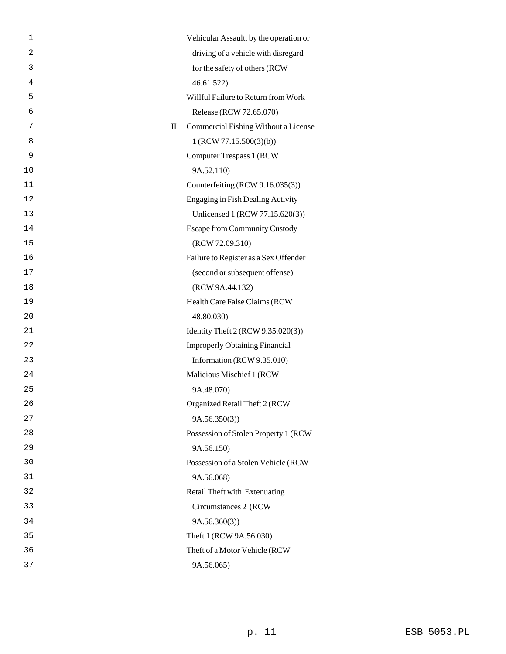| 1              | Vehicular Assault, by the operation or    |
|----------------|-------------------------------------------|
| $\overline{2}$ | driving of a vehicle with disregard       |
| 3              | for the safety of others (RCW             |
| 4              | 46.61.522                                 |
| 5              | Willful Failure to Return from Work       |
| 6              | Release (RCW 72.65.070)                   |
| 7              | Commercial Fishing Without a License<br>П |
| 8              | 1 (RCW 77.15.500(3)(b))                   |
| 9              | <b>Computer Trespass 1 (RCW)</b>          |
| 10             | 9A.52.110)                                |
| 11             | Counterfeiting (RCW 9.16.035(3))          |
| 12             | <b>Engaging in Fish Dealing Activity</b>  |
| 13             | Unlicensed 1 (RCW 77.15.620(3))           |
| 14             | <b>Escape from Community Custody</b>      |
| 15             | (RCW 72.09.310)                           |
| 16             | Failure to Register as a Sex Offender     |
| 17             | (second or subsequent offense)            |
| 18             | (RCW 9A.44.132)                           |
| 19             | Health Care False Claims (RCW             |
| 20             | 48.80.030)                                |
| 21             | Identity Theft 2 (RCW 9.35.020(3))        |
| 22             | <b>Improperly Obtaining Financial</b>     |
| 23             | Information (RCW 9.35.010)                |
| 24             | Malicious Mischief 1 (RCW                 |
| 25             | 9A.48.070)                                |
| 26             | Organized Retail Theft 2 (RCW             |
| 27             | 9A.56.350(3)                              |
| 28             | Possession of Stolen Property 1 (RCW      |
| 29             | 9A.56.150)                                |
| 30             | Possession of a Stolen Vehicle (RCW       |
| 31             | 9A.56.068)                                |
| 32             | Retail Theft with Extenuating             |
| 33             | Circumstances 2 (RCW                      |
| 34             | 9A.56.360(3)                              |
| 35             | Theft 1 (RCW 9A.56.030)                   |
| 36             | Theft of a Motor Vehicle (RCW             |
| 37             | 9A.56.065)                                |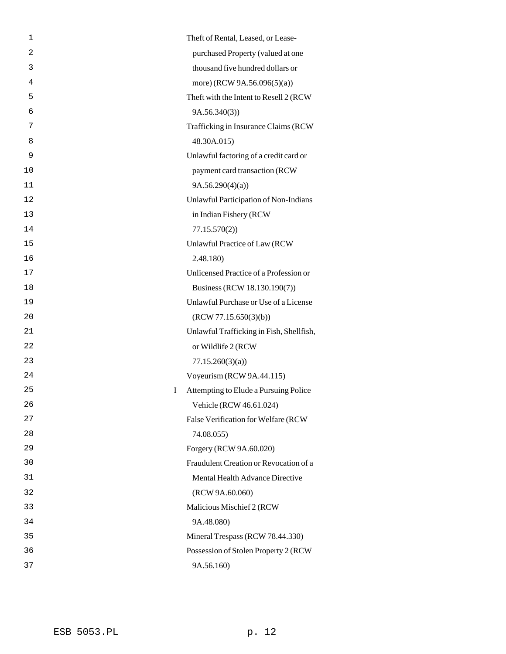| 1       | Theft of Rental, Leased, or Lease-       |
|---------|------------------------------------------|
| 2       | purchased Property (valued at one        |
| 3       | thousand five hundred dollars or         |
| 4       | more) (RCW 9A.56.096(5)(a))              |
| 5       | Theft with the Intent to Resell 2 (RCW   |
| 6       | 9A.56.340(3)                             |
| 7       | Trafficking in Insurance Claims (RCW     |
| 8       | 48.30A.015)                              |
| 9       | Unlawful factoring of a credit card or   |
| 10      | payment card transaction (RCW            |
| 11      | 9A.56.290(4)(a)                          |
| 12      | Unlawful Participation of Non-Indians    |
| 13      | in Indian Fishery (RCW                   |
| 14      | 77.15.570(2)                             |
| 15      | Unlawful Practice of Law (RCW            |
| 16      | 2.48.180)                                |
| 17      | Unlicensed Practice of a Profession or   |
| 18      | Business (RCW 18.130.190(7))             |
| 19      | Unlawful Purchase or Use of a License    |
| 20      | (RCW 77.15.650(3)(b))                    |
| 21      | Unlawful Trafficking in Fish, Shellfish, |
| 22      | or Wildlife 2 (RCW                       |
| 23      | 77.15.260(3)(a)                          |
| 24      | Voyeurism (RCW 9A.44.115)                |
| 25<br>I | Attempting to Elude a Pursuing Police    |
| 26      | Vehicle (RCW 46.61.024)                  |
| 27      | False Verification for Welfare (RCW      |
| 28      | 74.08.055)                               |
| 29      | Forgery (RCW 9A.60.020)                  |
| 30      | Fraudulent Creation or Revocation of a   |
| 31      | Mental Health Advance Directive          |
| 32      | (RCW 9A.60.060)                          |
| 33      | Malicious Mischief 2 (RCW                |
| 34      | 9A.48.080)                               |
| 35      | Mineral Trespass (RCW 78.44.330)         |
| 36      | Possession of Stolen Property 2 (RCW     |
| 37      | 9A.56.160)                               |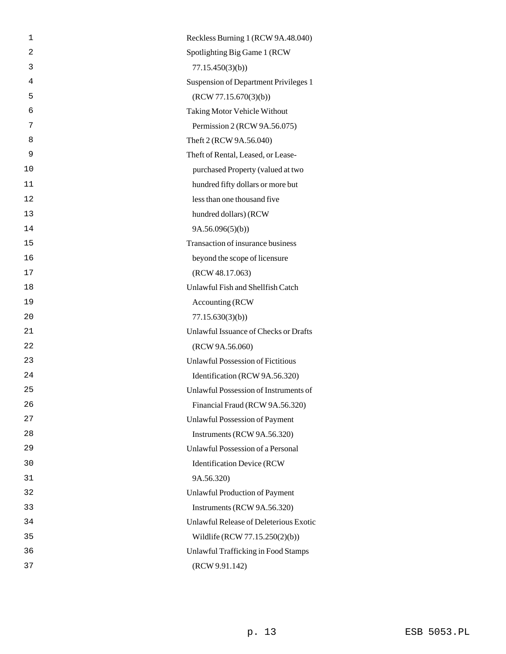| 1              | Reckless Burning 1 (RCW 9A.48.040)       |
|----------------|------------------------------------------|
| $\overline{2}$ | Spotlighting Big Game 1 (RCW             |
| 3              | 77.15.450(3)(b)                          |
| 4              | Suspension of Department Privileges 1    |
| 5              | (RCW 77.15.670(3)(b))                    |
| 6              | <b>Taking Motor Vehicle Without</b>      |
| 7              | Permission 2 (RCW 9A.56.075)             |
| 8              | Theft 2 (RCW 9A.56.040)                  |
| 9              | Theft of Rental, Leased, or Lease-       |
| 10             | purchased Property (valued at two        |
| 11             | hundred fifty dollars or more but        |
| 12             | less than one thousand five              |
| 13             | hundred dollars) (RCW                    |
| 14             | 9A.56.096(5)(b)                          |
| 15             | Transaction of insurance business        |
| 16             | beyond the scope of licensure            |
| 17             | (RCW 48.17.063)                          |
| 18             | Unlawful Fish and Shellfish Catch        |
| 19             | Accounting (RCW                          |
| 20             | 77.15.630(3)(b)                          |
| 21             | Unlawful Issuance of Checks or Drafts    |
| 22             | (RCW 9A.56.060)                          |
| 23             | <b>Unlawful Possession of Fictitious</b> |
| 24             | Identification (RCW 9A.56.320)           |
| 25             | Unlawful Possession of Instruments of    |
| 26             | Financial Fraud (RCW 9A.56.320)          |
| 27             | <b>Unlawful Possession of Payment</b>    |
| 28             | Instruments (RCW 9A.56.320)              |
| 29             | Unlawful Possession of a Personal        |
| 30             | <b>Identification Device (RCW</b>        |
| 31             | 9A.56.320)                               |
| 32             | <b>Unlawful Production of Payment</b>    |
| 33             | Instruments (RCW 9A.56.320)              |
| 34             | Unlawful Release of Deleterious Exotic   |
| 35             | Wildlife (RCW 77.15.250(2)(b))           |
| 36             | Unlawful Trafficking in Food Stamps      |
| 37             | (RCW 9.91.142)                           |